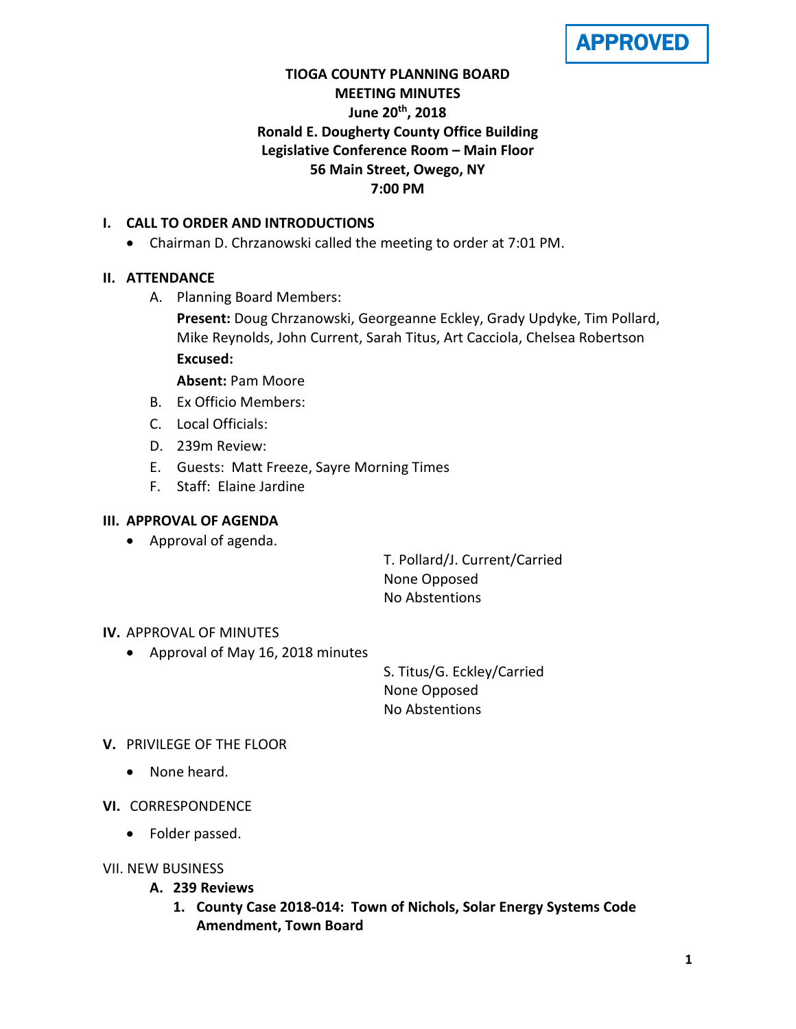APPROVED

# **TIOGA COUNTY PLANNING BOARD MEETING MINUTES June 20th, 2018 Ronald E. Dougherty County Office Building Legislative Conference Room – Main Floor 56 Main Street, Owego, NY 7:00 PM**

# **I. CALL TO ORDER AND INTRODUCTIONS**

• Chairman D. Chrzanowski called the meeting to order at 7:01 PM.

# **II. ATTENDANCE**

A. Planning Board Members:

**Present:** Doug Chrzanowski, Georgeanne Eckley, Grady Updyke, Tim Pollard, Mike Reynolds, John Current, Sarah Titus, Art Cacciola, Chelsea Robertson **Excused:**

**Absent:** Pam Moore

- B. Ex Officio Members:
- C. Local Officials:
- D. 239m Review:
- E. Guests: Matt Freeze, Sayre Morning Times
- F. Staff: Elaine Jardine

# **III. APPROVAL OF AGENDA**

• Approval of agenda.

T. Pollard/J. Current/Carried None Opposed No Abstentions

## **IV.** APPROVAL OF MINUTES

• Approval of May 16, 2018 minutes

S. Titus/G. Eckley/Carried None Opposed No Abstentions

## **V.** PRIVILEGE OF THE FLOOR

- None heard.
- **VI.** CORRESPONDENCE
	- Folder passed.
- VII. NEW BUSINESS
	- **A. 239 Reviews**
		- **1. County Case 2018-014: Town of Nichols, Solar Energy Systems Code Amendment, Town Board**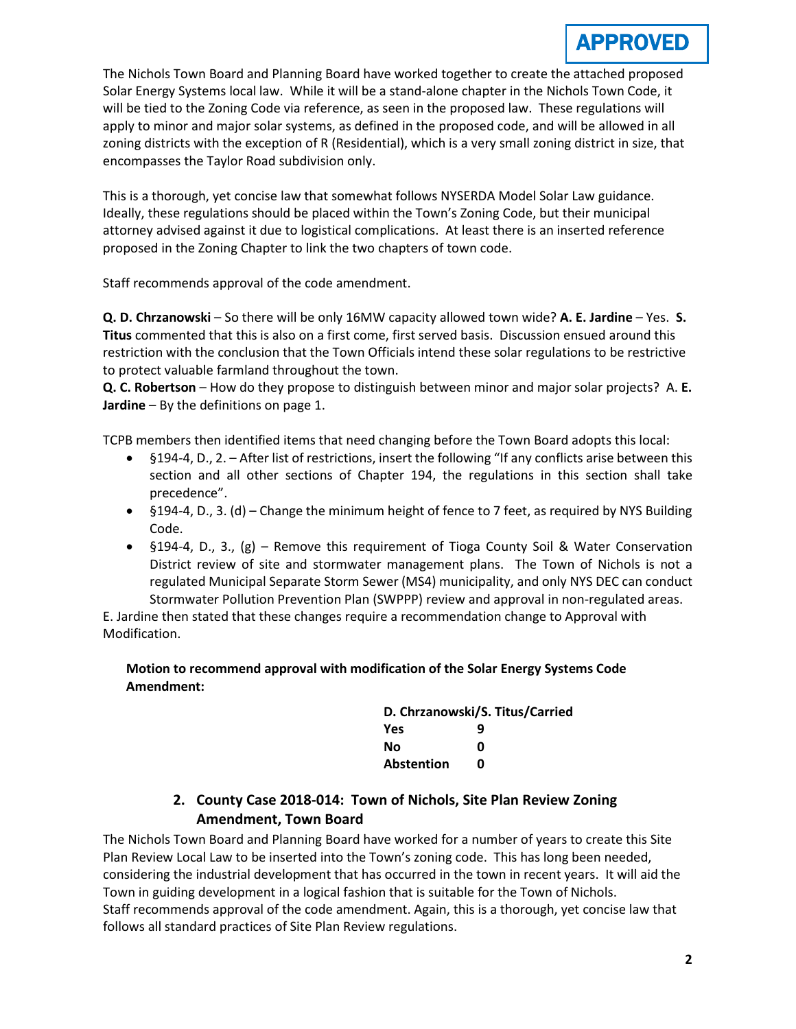The Nichols Town Board and Planning Board have worked together to create the attached proposed Solar Energy Systems local law. While it will be a stand-alone chapter in the Nichols Town Code, it will be tied to the Zoning Code via reference, as seen in the proposed law. These regulations will apply to minor and major solar systems, as defined in the proposed code, and will be allowed in all zoning districts with the exception of R (Residential), which is a very small zoning district in size, that encompasses the Taylor Road subdivision only.

This is a thorough, yet concise law that somewhat follows NYSERDA Model Solar Law guidance. Ideally, these regulations should be placed within the Town's Zoning Code, but their municipal attorney advised against it due to logistical complications. At least there is an inserted reference proposed in the Zoning Chapter to link the two chapters of town code.

Staff recommends approval of the code amendment.

**Q. D. Chrzanowski** – So there will be only 16MW capacity allowed town wide? **A. E. Jardine** – Yes. **S. Titus** commented that this is also on a first come, first served basis. Discussion ensued around this restriction with the conclusion that the Town Officials intend these solar regulations to be restrictive to protect valuable farmland throughout the town.

**Q. C. Robertson** – How do they propose to distinguish between minor and major solar projects? A. **E. Jardine** – By the definitions on page 1.

TCPB members then identified items that need changing before the Town Board adopts this local:

- §194-4, D., 2. After list of restrictions, insert the following "If any conflicts arise between this section and all other sections of Chapter 194, the regulations in this section shall take precedence".
- §194-4, D., 3. (d) Change the minimum height of fence to 7 feet, as required by NYS Building Code.
- §194-4, D., 3., (g) Remove this requirement of Tioga County Soil & Water Conservation District review of site and stormwater management plans. The Town of Nichols is not a regulated Municipal Separate Storm Sewer (MS4) municipality, and only NYS DEC can conduct Stormwater Pollution Prevention Plan (SWPPP) review and approval in non-regulated areas.

E. Jardine then stated that these changes require a recommendation change to Approval with Modification.

#### **Motion to recommend approval with modification of the Solar Energy Systems Code Amendment:**

| D. Chrzanowski/S. Titus/Carried |   |
|---------------------------------|---|
| Yes                             | q |
| No                              | n |
| <b>Abstention</b>               | n |

# **2. County Case 2018-014: Town of Nichols, Site Plan Review Zoning Amendment, Town Board**

The Nichols Town Board and Planning Board have worked for a number of years to create this Site Plan Review Local Law to be inserted into the Town's zoning code. This has long been needed, considering the industrial development that has occurred in the town in recent years. It will aid the Town in guiding development in a logical fashion that is suitable for the Town of Nichols. Staff recommends approval of the code amendment. Again, this is a thorough, yet concise law that follows all standard practices of Site Plan Review regulations.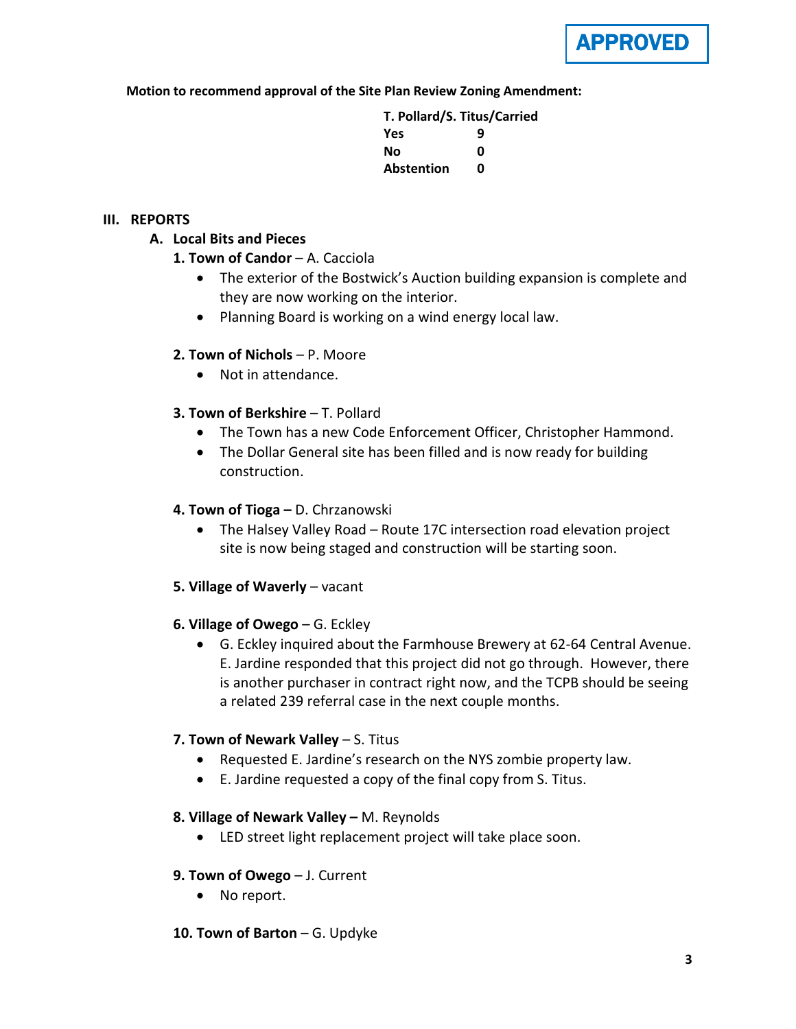

**Motion to recommend approval of the Site Plan Review Zoning Amendment:**

**T. Pollard/S. Titus/Carried Yes 9 No 0 Abstention 0**

#### **III. REPORTS**

# **A. Local Bits and Pieces**

- **1. Town of Candor** A. Cacciola
	- The exterior of the Bostwick's Auction building expansion is complete and they are now working on the interior.
	- Planning Board is working on a wind energy local law.

## **2. Town of Nichols** – P. Moore

- Not in attendance.
- **3. Town of Berkshire T. Pollard** 
	- The Town has a new Code Enforcement Officer, Christopher Hammond.
	- The Dollar General site has been filled and is now ready for building construction.

# **4. Town of Tioga –** D. Chrzanowski

- The Halsey Valley Road Route 17C intersection road elevation project site is now being staged and construction will be starting soon.
- **5. Village of Waverly** vacant
- **6. Village of Owego** G. Eckley
	- G. Eckley inquired about the Farmhouse Brewery at 62-64 Central Avenue. E. Jardine responded that this project did not go through. However, there is another purchaser in contract right now, and the TCPB should be seeing a related 239 referral case in the next couple months.

## **7. Town of Newark Valley** – S. Titus

- Requested E. Jardine's research on the NYS zombie property law.
- E. Jardine requested a copy of the final copy from S. Titus.

## **8. Village of Newark Valley –** M. Reynolds

• LED street light replacement project will take place soon.

## **9. Town of Owego** – J. Current

- No report.
- **10. Town of Barton** G. Updyke